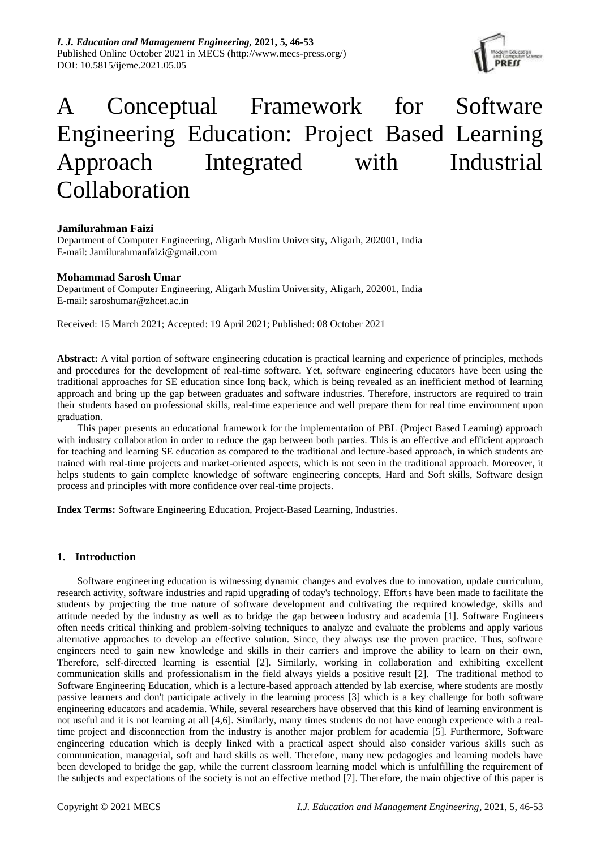*I. J. Education and Management Engineering,* **2021, 5, 46-53** Published Online October 2021 in MECS (http://www.mecs-press.org/) DOI: 10.5815/ijeme.2021.05.05



# A Conceptual Framework for Software Engineering Education: Project Based Learning Approach Integrated with Industrial Collaboration

## **Jamilurahman Faizi**

Department of Computer Engineering, Aligarh Muslim University, Aligarh, 202001, India E-mail: Jamilurahmanfaizi@gmail.com

### **Mohammad Sarosh Umar**

Department of Computer Engineering, Aligarh Muslim University, Aligarh, 202001, India E-mail: saroshumar@zhcet.ac.in

Received: 15 March 2021; Accepted: 19 April 2021; Published: 08 October 2021

**Abstract:** A vital portion of software engineering education is practical learning and experience of principles, methods and procedures for the development of real-time software. Yet, software engineering educators have been using the traditional approaches for SE education since long back, which is being revealed as an inefficient method of learning approach and bring up the gap between graduates and software industries. Therefore, instructors are required to train their students based on professional skills, real-time experience and well prepare them for real time environment upon graduation.

This paper presents an educational framework for the implementation of PBL (Project Based Learning) approach with industry collaboration in order to reduce the gap between both parties. This is an effective and efficient approach for teaching and learning SE education as compared to the traditional and lecture-based approach, in which students are trained with real-time projects and market-oriented aspects, which is not seen in the traditional approach. Moreover, it helps students to gain complete knowledge of software engineering concepts, Hard and Soft skills, Software design process and principles with more confidence over real-time projects.

**Index Terms:** Software Engineering Education, Project-Based Learning, Industries.

#### **1. Introduction**

Software engineering education is witnessing dynamic changes and evolves due to innovation, update curriculum, research activity, software industries and rapid upgrading of today's technology. Efforts have been made to facilitate the students by projecting the true nature of software development and cultivating the required knowledge, skills and attitude needed by the industry as well as to bridge the gap between industry and academia [1]. Software Engineers often needs critical thinking and problem-solving techniques to analyze and evaluate the problems and apply various alternative approaches to develop an effective solution. Since, they always use the proven practice. Thus, software engineers need to gain new knowledge and skills in their carriers and improve the ability to learn on their own, Therefore, self-directed learning is essential [2]. Similarly, working in collaboration and exhibiting excellent communication skills and professionalism in the field always yields a positive result [2]. The traditional method to Software Engineering Education, which is a lecture-based approach attended by lab exercise, where students are mostly passive learners and don't participate actively in the learning process [3] which is a key challenge for both software engineering educators and academia. While, several researchers have observed that this kind of learning environment is not useful and it is not learning at all [4,6]. Similarly, many times students do not have enough experience with a realtime project and disconnection from the industry is another major problem for academia [5]. Furthermore, Software engineering education which is deeply linked with a practical aspect should also consider various skills such as communication, managerial, soft and hard skills as well. Therefore, many new pedagogies and learning models have been developed to bridge the gap, while the current classroom learning model which is unfulfilling the requirement of the subjects and expectations of the society is not an effective method [7]. Therefore, the main objective of this paper is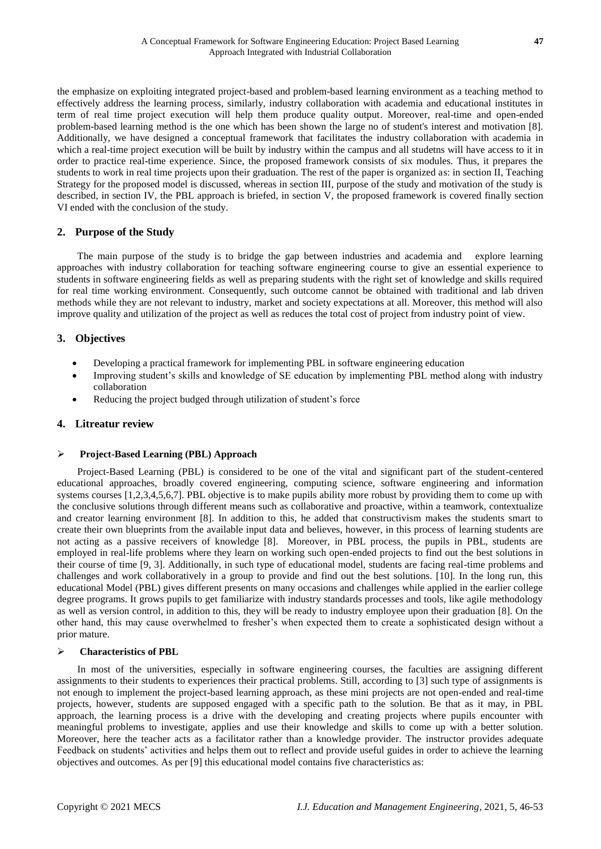the emphasize on exploiting integrated project-based and problem-based learning environment as a teaching method to effectively address the learning process, similarly, industry collaboration with academia and educational institutes in term of real time project execution will help them produce quality output. Moreover, real-time and open-ended problem-based learning method is the one which has been shown the large no of student's interest and motivation [8]. Additionally, we have designed a conceptual framework that facilitates the industry collaboration with academia in which a real-time project execution will be built by industry within the campus and all studetns will have access to it in order to practice real-time experience. Since, the proposed framework consists of six modules. Thus, it prepares the students to work in real time projects upon their graduation. The rest of the paper is organized as: in section II, Teaching Strategy for the proposed model is discussed, whereas in section III, purpose of the study and motivation of the study is described, in section IV, the PBL approach is briefed, in section V, the proposed framework is covered finally section VI ended with the conclusion of the study.

## **2. Purpose of the Study**

The main purpose of the study is to bridge the gap between industries and academia and explore learning approaches with industry collaboration for teaching software engineering course to give an essential experience to students in software engineering fields as well as preparing students with the right set of knowledge and skills required for real time working environment. Consequently, such outcome cannot be obtained with traditional and lab driven methods while they are not relevant to industry, market and society expectations at all. Moreover, this method will also improve quality and utilization of the project as well as reduces the total cost of project from industry point of view.

## **3. Objectives**

- Developing a practical framework for implementing PBL in software engineering education
- Improving student's skills and knowledge of SE education by implementing PBL method along with industry collaboration
- Reducing the project budged through utilization of student's force

## **4. Litreatur review**

#### **Project-Based Learning (PBL) Approach**

Project-Based Learning (PBL) is considered to be one of the vital and significant part of the student-centered educational approaches, broadly covered engineering, computing science, software engineering and information systems courses [1,2,3,4,5,6,7]. PBL objective is to make pupils ability more robust by providing them to come up with the conclusive solutions through different means such as collaborative and proactive, within a teamwork, contextualize and creator learning environment [8]. In addition to this, he added that constructivism makes the students smart to create their own blueprints from the available input data and believes, however, in this process of learning students are not acting as a passive receivers of knowledge [8]. Moreover, in PBL process, the pupils in PBL, students are employed in real-life problems where they learn on working such open-ended projects to find out the best solutions in their course of time [9, 3]. Additionally, in such type of educational model, students are facing real-time problems and challenges and work collaboratively in a group to provide and find out the best solutions. [10]. In the long run, this educational Model (PBL) gives different presents on many occasions and challenges while applied in the earlier college degree programs. It grows pupils to get familiarize with industry standards processes and tools, like agile methodology as well as version control, in addition to this, they will be ready to industry employee upon their graduation [8]. On the other hand, this may cause overwhelmed to fresher's when expected them to create a sophisticated design without a prior mature.

### **Characteristics of PBL**

In most of the universities, especially in software engineering courses, the faculties are assigning different assignments to their students to experiences their practical problems. Still, according to [3] such type of assignments is not enough to implement the project-based learning approach, as these mini projects are not open-ended and real-time projects, however, students are supposed engaged with a specific path to the solution. Be that as it may, in PBL approach, the learning process is a drive with the developing and creating projects where pupils encounter with meaningful problems to investigate, applies and use their knowledge and skills to come up with a better solution. Moreover, here the teacher acts as a facilitator rather than a knowledge provider. The instructor provides adequate Feedback on students' activities and helps them out to reflect and provide useful guides in order to achieve the learning objectives and outcomes. As per [9] this educational model contains five characteristics as: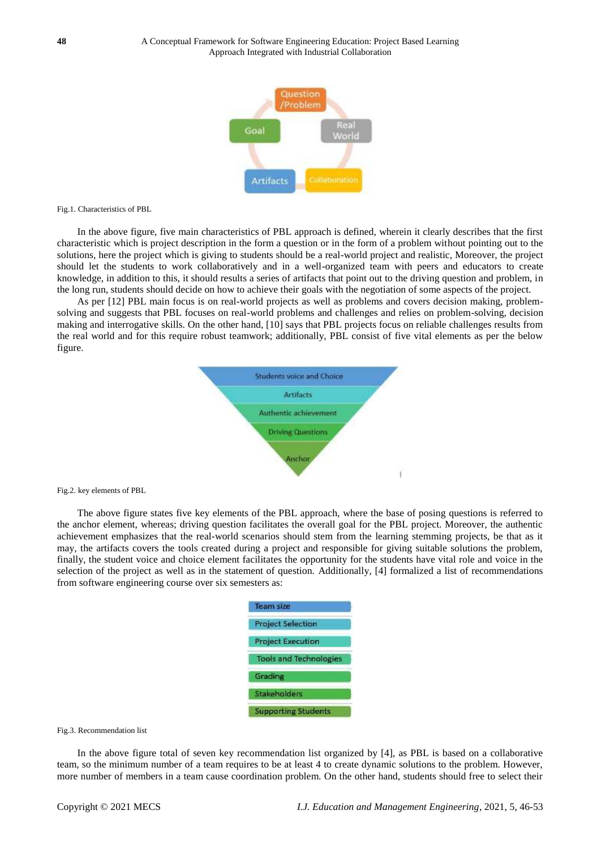

Fig.1. Characteristics of PBL

In the above figure, five main characteristics of PBL approach is defined, wherein it clearly describes that the first characteristic which is project description in the form a question or in the form of a problem without pointing out to the solutions, here the project which is giving to students should be a real-world project and realistic, Moreover, the project should let the students to work collaboratively and in a well-organized team with peers and educators to create knowledge, in addition to this, it should results a series of artifacts that point out to the driving question and problem, in the long run, students should decide on how to achieve their goals with the negotiation of some aspects of the project.

As per [12] PBL main focus is on real-world projects as well as problems and covers decision making, problemsolving and suggests that PBL focuses on real-world problems and challenges and relies on problem-solving, decision making and interrogative skills. On the other hand, [10] says that PBL projects focus on reliable challenges results from the real world and for this require robust teamwork; additionally, PBL consist of five vital elements as per the below figure.



Fig.2. key elements of PBL

The above figure states five key elements of the PBL approach, where the base of posing questions is referred to the anchor element, whereas; driving question facilitates the overall goal for the PBL project. Moreover, the authentic achievement emphasizes that the real-world scenarios should stem from the learning stemming projects, be that as it may, the artifacts covers the tools created during a project and responsible for giving suitable solutions the problem, finally, the student voice and choice element facilitates the opportunity for the students have vital role and voice in the selection of the project as well as in the statement of question. Additionally, [4] formalized a list of recommendations from software engineering course over six semesters as:

| <b>Team size</b>              |
|-------------------------------|
| <b>Project Selection</b>      |
| <b>Project Execution</b>      |
| <b>Tools and Technologies</b> |
| Grading                       |
| Stakeholders                  |
| <b>Supporting Students</b>    |

#### Fig.3. Recommendation list

In the above figure total of seven key recommendation list organized by [4], as PBL is based on a collaborative team, so the minimum number of a team requires to be at least 4 to create dynamic solutions to the problem. However, more number of members in a team cause coordination problem. On the other hand, students should free to select their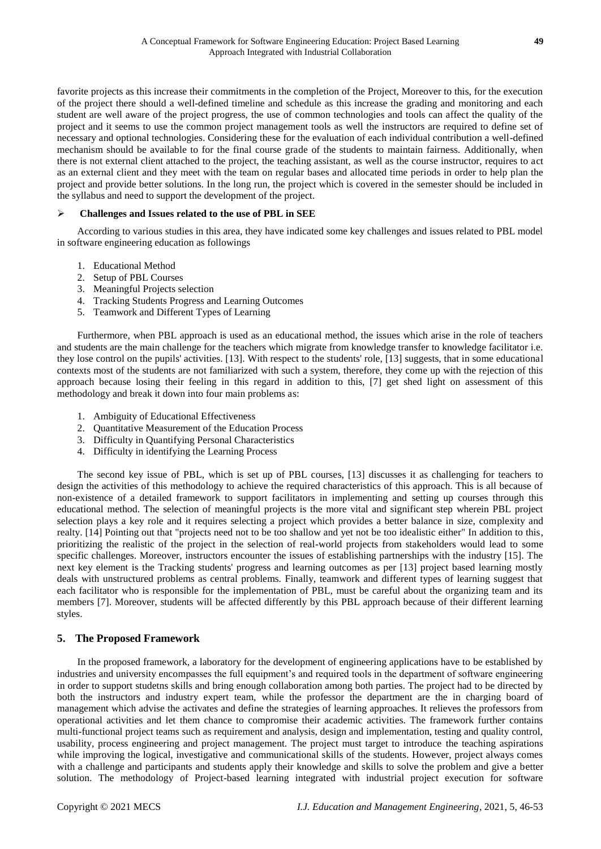favorite projects as this increase their commitments in the completion of the Project, Moreover to this, for the execution of the project there should a well-defined timeline and schedule as this increase the grading and monitoring and each student are well aware of the project progress, the use of common technologies and tools can affect the quality of the project and it seems to use the common project management tools as well the instructors are required to define set of necessary and optional technologies. Considering these for the evaluation of each individual contribution a well-defined mechanism should be available to for the final course grade of the students to maintain fairness. Additionally, when there is not external client attached to the project, the teaching assistant, as well as the course instructor, requires to act as an external client and they meet with the team on regular bases and allocated time periods in order to help plan the project and provide better solutions. In the long run, the project which is covered in the semester should be included in the syllabus and need to support the development of the project.

#### **Challenges and Issues related to the use of PBL in SEE**

According to various studies in this area, they have indicated some key challenges and issues related to PBL model in software engineering education as followings

- 1. Educational Method
- 2. Setup of PBL Courses
- 3. Meaningful Projects selection
- 4. Tracking Students Progress and Learning Outcomes
- 5. Teamwork and Different Types of Learning

Furthermore, when PBL approach is used as an educational method, the issues which arise in the role of teachers and students are the main challenge for the teachers which migrate from knowledge transfer to knowledge facilitator i.e. they lose control on the pupils' activities. [13]. With respect to the students' role, [13] suggests, that in some educational contexts most of the students are not familiarized with such a system, therefore, they come up with the rejection of this approach because losing their feeling in this regard in addition to this, [7] get shed light on assessment of this methodology and break it down into four main problems as:

- 1. Ambiguity of Educational Effectiveness
- 2. Quantitative Measurement of the Education Process
- 3. Difficulty in Quantifying Personal Characteristics
- 4. Difficulty in identifying the Learning Process

The second key issue of PBL, which is set up of PBL courses, [13] discusses it as challenging for teachers to design the activities of this methodology to achieve the required characteristics of this approach. This is all because of non-existence of a detailed framework to support facilitators in implementing and setting up courses through this educational method. The selection of meaningful projects is the more vital and significant step wherein PBL project selection plays a key role and it requires selecting a project which provides a better balance in size, complexity and realty. [14] Pointing out that "projects need not to be too shallow and yet not be too idealistic either" In addition to this, prioritizing the realistic of the project in the selection of real-world projects from stakeholders would lead to some specific challenges. Moreover, instructors encounter the issues of establishing partnerships with the industry [15]. The next key element is the Tracking students' progress and learning outcomes as per [13] project based learning mostly deals with unstructured problems as central problems. Finally, teamwork and different types of learning suggest that each facilitator who is responsible for the implementation of PBL, must be careful about the organizing team and its members [7]. Moreover, students will be affected differently by this PBL approach because of their different learning styles.

## **5. The Proposed Framework**

In the proposed framework, a laboratory for the development of engineering applications have to be established by industries and university encompasses the full equipment's and required tools in the department of software engineering in order to support studetns skills and bring enough collaboration among both parties. The project had to be directed by both the instructors and industry expert team, while the professor the department are the in charging board of management which advise the activates and define the strategies of learning approaches. It relieves the professors from operational activities and let them chance to compromise their academic activities. The framework further contains multi-functional project teams such as requirement and analysis, design and implementation, testing and quality control, usability, process engineering and project management. The project must target to introduce the teaching aspirations while improving the logical, investigative and communicational skills of the students. However, project always comes with a challenge and participants and students apply their knowledge and skills to solve the problem and give a better solution. The methodology of Project-based learning integrated with industrial project execution for software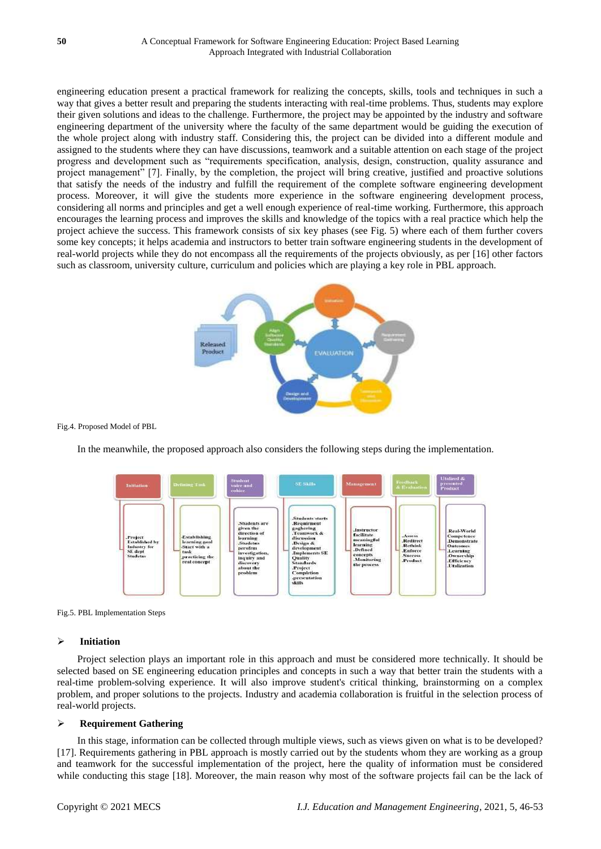engineering education present a practical framework for realizing the concepts, skills, tools and techniques in such a way that gives a better result and preparing the students interacting with real-time problems. Thus, students may explore their given solutions and ideas to the challenge. Furthermore, the project may be appointed by the industry and software engineering department of the university where the faculty of the same department would be guiding the execution of the whole project along with industry staff. Considering this, the project can be divided into a different module and assigned to the students where they can have discussions, teamwork and a suitable attention on each stage of the project progress and development such as "requirements specification, analysis, design, construction, quality assurance and project management" [7]. Finally, by the completion, the project will bring creative, justified and proactive solutions that satisfy the needs of the industry and fulfill the requirement of the complete software engineering development process. Moreover, it will give the students more experience in the software engineering development process, considering all norms and principles and get a well enough experience of real-time working. Furthermore, this approach encourages the learning process and improves the skills and knowledge of the topics with a real practice which help the project achieve the success. This framework consists of six key phases (see Fig. 5) where each of them further covers some key concepts; it helps academia and instructors to better train software engineering students in the development of real-world projects while they do not encompass all the requirements of the projects obviously, as per [16] other factors such as classroom, university culture, curriculum and policies which are playing a key role in PBL approach.



Fig.4. Proposed Model of PBL

In the meanwhile, the proposed approach also considers the following steps during the implementation.





#### **Initiation**

Project selection plays an important role in this approach and must be considered more technically. It should be selected based on SE engineering education principles and concepts in such a way that better train the students with a real-time problem-solving experience. It will also improve student's critical thinking, brainstorming on a complex problem, and proper solutions to the projects. Industry and academia collaboration is fruitful in the selection process of real-world projects.

## **Requirement Gathering**

In this stage, information can be collected through multiple views, such as views given on what is to be developed? [17]. Requirements gathering in PBL approach is mostly carried out by the students whom they are working as a group and teamwork for the successful implementation of the project, here the quality of information must be considered while conducting this stage [18]. Moreover, the main reason why most of the software projects fail can be the lack of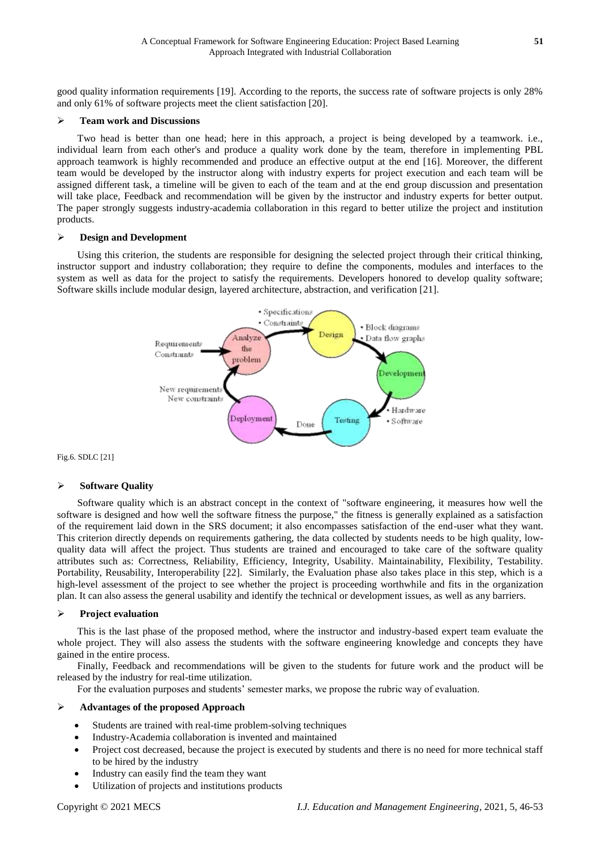good quality information requirements [19]. According to the reports, the success rate of software projects is only 28% and only 61% of software projects meet the client satisfaction [20].

#### **Team work and Discussions**

Two head is better than one head; here in this approach, a project is being developed by a teamwork. i.e., individual learn from each other's and produce a quality work done by the team, therefore in implementing PBL approach teamwork is highly recommended and produce an effective output at the end [16]. Moreover, the different team would be developed by the instructor along with industry experts for project execution and each team will be assigned different task, a timeline will be given to each of the team and at the end group discussion and presentation will take place, Feedback and recommendation will be given by the instructor and industry experts for better output. The paper strongly suggests industry-academia collaboration in this regard to better utilize the project and institution products.

#### **Design and Development**

Using this criterion, the students are responsible for designing the selected project through their critical thinking, instructor support and industry collaboration; they require to define the components, modules and interfaces to the system as well as data for the project to satisfy the requirements. Developers honored to develop quality software; Software skills include modular design, layered architecture, abstraction, and verification [21].



Fig.6. SDLC [21]

### **Software Quality**

Software quality which is an abstract concept in the context of "software engineering, it measures how well the software is designed and how well the software fitness the purpose," the fitness is generally explained as a satisfaction of the requirement laid down in the SRS document; it also encompasses satisfaction of the end-user what they want. This criterion directly depends on requirements gathering, the data collected by students needs to be high quality, lowquality data will affect the project. Thus students are trained and encouraged to take care of the software quality attributes such as: Correctness, Reliability, Efficiency, Integrity, Usability. Maintainability, Flexibility, Testability. Portability, Reusability, Interoperability [22]. Similarly, the Evaluation phase also takes place in this step, which is a high-level assessment of the project to see whether the project is proceeding worthwhile and fits in the organization plan. It can also assess the general usability and identify the technical or development issues, as well as any barriers.

#### **Project evaluation**

This is the last phase of the proposed method, where the instructor and industry-based expert team evaluate the whole project. They will also assess the students with the software engineering knowledge and concepts they have gained in the entire process.

Finally, Feedback and recommendations will be given to the students for future work and the product will be released by the industry for real-time utilization.

For the evaluation purposes and students' semester marks, we propose the rubric way of evaluation.

#### **Advantages of the proposed Approach**

- Students are trained with real-time problem-solving techniques
- Industry-Academia collaboration is invented and maintained
- Project cost decreased, because the project is executed by students and there is no need for more technical staff to be hired by the industry
- Industry can easily find the team they want
- Utilization of projects and institutions products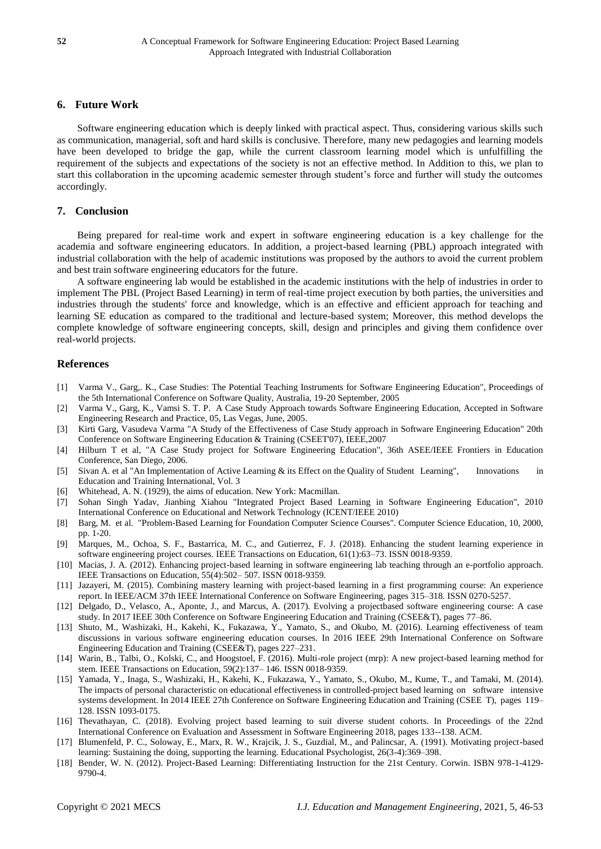## **6. Future Work**

Software engineering education which is deeply linked with practical aspect. Thus, considering various skills such as communication, managerial, soft and hard skills is conclusive. Therefore, many new pedagogies and learning models have been developed to bridge the gap, while the current classroom learning model which is unfulfilling the requirement of the subjects and expectations of the society is not an effective method. In Addition to this, we plan to start this collaboration in the upcoming academic semester through student's force and further will study the outcomes accordingly.

#### **7. Conclusion**

Being prepared for real-time work and expert in software engineering education is a key challenge for the academia and software engineering educators. In addition, a project-based learning (PBL) approach integrated with industrial collaboration with the help of academic institutions was proposed by the authors to avoid the current problem and best train software engineering educators for the future.

A software engineering lab would be established in the academic institutions with the help of industries in order to implement The PBL (Project Based Learning) in term of real-time project execution by both parties, the universities and industries through the students' force and knowledge, which is an effective and efficient approach for teaching and learning SE education as compared to the traditional and lecture-based system; Moreover, this method develops the complete knowledge of software engineering concepts, skill, design and principles and giving them confidence over real-world projects.

### **References**

- [1] Varma V., Garg,. K., Case Studies: The Potential Teaching Instruments for Software Engineering Education", Proceedings of the 5th International Conference on Software Quality, Australia, 19-20 September, 2005
- [2] Varma V., Garg, K., Vamsi S. T. P. A Case Study Approach towards Software Engineering Education, Accepted in Software Engineering Research and Practice, 05, Las Vegas, June, 2005.
- [3] Kirti Garg, Vasudeva Varma "A Study of the Effectiveness of Case Study approach in Software Engineering Education" 20th Conference on Software Engineering Education & Training (CSEET'07), IEEE,2007
- [4] Hilburn T et al, "A Case Study project for Software Engineering Education", 36th ASEE/IEEE Frontiers in Education Conference, San Diego, 2006.
- [5] Sivan A. et al "An Implementation of Active Learning & its Effect on the Quality of Student Learning", Innovations in Education and Training International, Vol. 3
- [6] Whitehead, A. N. (1929), the aims of education. New York: Macmillan.
- [7] Sohan Singh Yadav, Jianbing Xiahou "Integrated Project Based Learning in Software Engineering Education", 2010 International Conference on Educational and Network Technology (ICENT/IEEE 2010)
- [8] Barg, M. et al. "Problem-Based Learning for Foundation Computer Science Courses". Computer Science Education, 10, 2000, pp. 1-20.
- [9] Marques, M., Ochoa, S. F., Bastarrica, M. C., and Gutierrez, F. J. (2018). Enhancing the student learning experience in software engineering project courses. IEEE Transactions on Education, 61(1):63–73. ISSN 0018-9359.
- [10] Macias, J. A. (2012). Enhancing project-based learning in software engineering lab teaching through an e-portfolio approach. IEEE Transactions on Education, 55(4):502– 507. ISSN 0018-9359.
- [11] Jazayeri, M. (2015). Combining mastery learning with project-based learning in a first programming course: An experience report. In IEEE/ACM 37th IEEE International Conference on Software Engineering, pages 315–318. ISSN 0270-5257.
- [12] Delgado, D., Velasco, A., Aponte, J., and Marcus, A. (2017). Evolving a projectbased software engineering course: A case study. In 2017 IEEE 30th Conference on Software Engineering Education and Training (CSEE&T), pages 77–86.
- [13] Shuto, M., Washizaki, H., Kakehi, K., Fukazawa, Y., Yamato, S., and Okubo, M. (2016). Learning effectiveness of team discussions in various software engineering education courses. In 2016 IEEE 29th International Conference on Software Engineering Education and Training (CSEE&T), pages 227–231.
- [14] Warin, B., Talbi, O., Kolski, C., and Hoogstoel, F. (2016). Multi-role project (mrp): A new project-based learning method for stem. IEEE Transactions on Education, 59(2):137– 146. ISSN 0018-9359.
- [15] Yamada, Y., Inaga, S., Washizaki, H., Kakehi, K., Fukazawa, Y., Yamato, S., Okubo, M., Kume, T., and Tamaki, M. (2014). The impacts of personal characteristic on educational effectiveness in controlled-project based learning on software intensive systems development. In 2014 IEEE 27th Conference on Software Engineering Education and Training (CSEE T), pages 119– 128. ISSN 1093-0175.
- [16] Thevathayan, C. (2018). Evolving project based learning to suit diverse student cohorts. In Proceedings of the 22nd International Conference on Evaluation and Assessment in Software Engineering 2018, pages 133--138. ACM.
- [17] Blumenfeld, P. C., Soloway, E., Marx, R. W., Krajcik, J. S., Guzdial, M., and Palincsar, A. (1991). Motivating project-based learning: Sustaining the doing, supporting the learning. Educational Psychologist, 26(3-4):369–398.
- [18] Bender, W. N. (2012). Project-Based Learning: Differentiating Instruction for the 21st Century. Corwin. ISBN 978-1-4129- 9790-4.